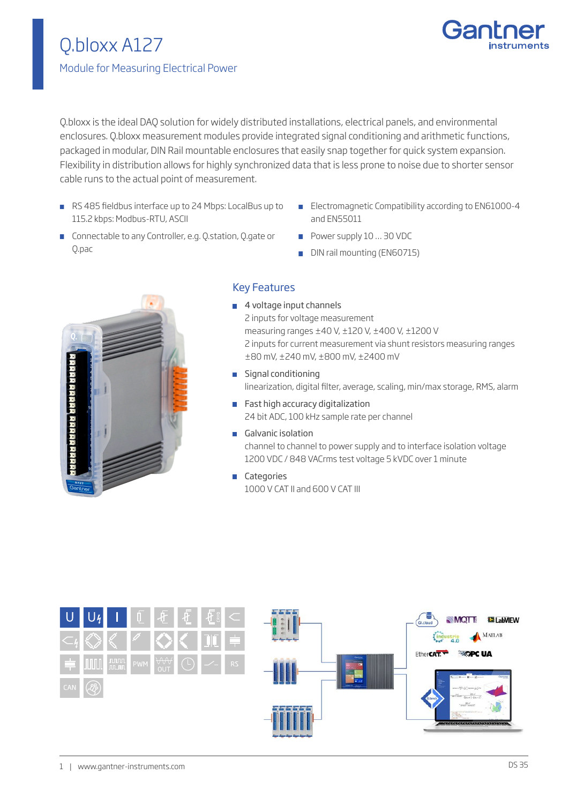# Q.bloxx A127 Module for Measuring Electrical Power



Q.bloxx is the ideal DAQ solution for widely distributed installations, electrical panels, and environmental enclosures. Q.bloxx measurement modules provide integrated signal conditioning and arithmetic functions, packaged in modular, DIN Rail mountable enclosures that easily snap together for quick system expansion. Flexibility in distribution allows for highly synchronized data that is less prone to noise due to shorter sensor cable runs to the actual point of measurement.

- RS 485 fieldbus interface up to 24 Mbps: LocalBus up to 115.2 kbps: Modbus-RTU, ASCII
- **Electromagnetic Compatibility according to EN61000-4** and EN55011
- **Connectable to any Controller, e.g. Q.station, Q.gate or** Q.pac
- Power supply 10 ... 30 VDC
- DIN rail mounting (EN60715)



### Key Features

■ 4 voltage input channels 2 inputs for voltage measurement measuring ranges ±40 V, ±120 V, ±400 V, ±1200 V 2 inputs for current measurement via shunt resistors measuring ranges ±80 mV, ±240 mV, ±800 mV, ±2400 mV

**Signal conditioning** linearization, digital filter, average, scaling, min/max storage, RMS, alarm

- **Fast high accuracy digitalization** 24 bit ADC, 100 kHz sample rate per channel
- Galvanic isolation channel to channel to power supply and to interface isolation voltage 1200 VDC / 848 VACrms test voltage 5 kVDC over 1 minute
- **Categories** 1000 V CAT II and 600 V CAT III

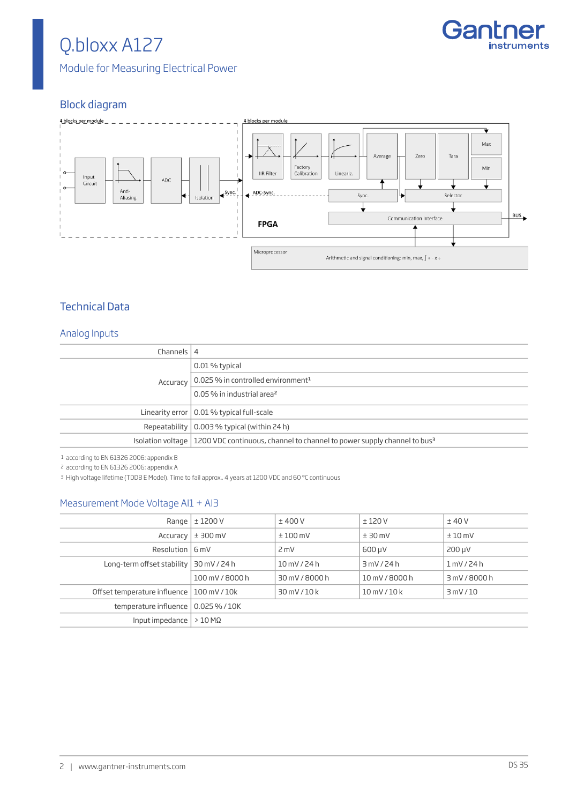# Q.bloxx A127

Module for Measuring Electrical Power

## Block diagram



### Technical Data

#### Analog Inputs

| Channels $ 4$ |                                                                                                         |
|---------------|---------------------------------------------------------------------------------------------------------|
| Accuracy      | 0.01 % typical                                                                                          |
|               | 0.025 % in controlled environment <sup>1</sup>                                                          |
|               | 0.05 % in industrial area <sup>2</sup>                                                                  |
|               | Linearity error $\vert$ 0.01 % typical full-scale                                                       |
|               | Repeatability $\vert$ 0.003 % typical (within 24 h)                                                     |
|               | Isolation voltage   1200 VDC continuous, channel to channel to power supply channel to bus <sup>3</sup> |

1 according to EN 61326 2006: appendix B

2 according to EN 61326 2006: appendix A

3 High voltage lifetime (TDDB E Model). Time to fail approx.. 4 years at 1200 VDC and 60 °C continuous

#### Measurement Mode Voltage AI1 + AI3

|                                             | Range $ \pm 1200 V$ | ±400V          | ±120V            | ±40V          |
|---------------------------------------------|---------------------|----------------|------------------|---------------|
| Accuracy                                    | $±$ 300 mV          | $±100$ mV      | $± 30$ mV        | $±10$ mV      |
| Resolution $ 6mV $                          |                     | $2$ mV         | 600 µV           | $200 \mu V$   |
| Long-term offset stability                  | 30 mV / 24 h        | 10 mV / 24 h   | 3mV/24h          | 1 mV/24 h     |
|                                             | 100 mV / 8000 h     | 30 mV / 8000 h | 10 mV / 8000 h   | 3 mV / 8000 h |
| Offset temperature influence   100 mV / 10k |                     | 30 mV/10 k     | $10$ mV / $10$ k | 3mV/10        |
| temperature influence   0.025 % / 10K       |                     |                |                  |               |
| Input impedance $  > 10$ M $\Omega$         |                     |                |                  |               |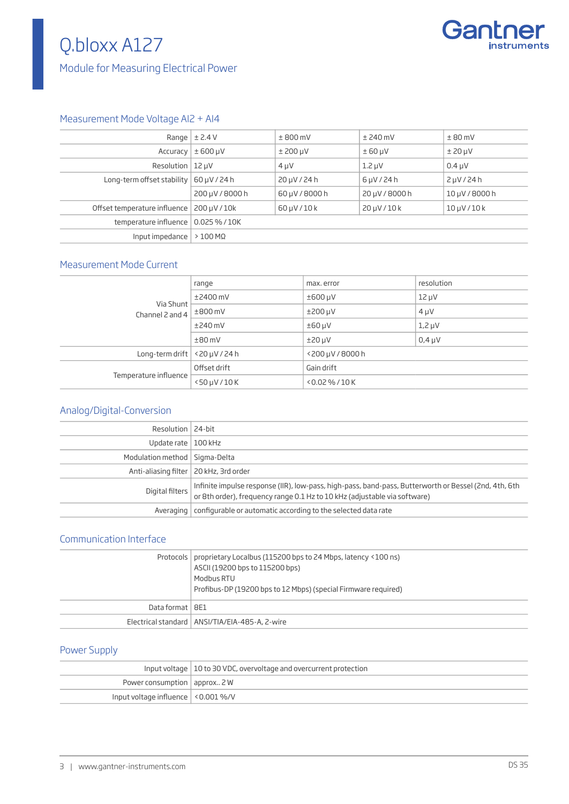# Q.bloxx A127



### Module for Measuring Electrical Power

#### Measurement Mode Voltage AI2 + AI4

|                              | Range $\vert \pm 2.4 V \vert$ | $± 800$ mV        | $±$ 240 mV       | $± 80$ mV         |
|------------------------------|-------------------------------|-------------------|------------------|-------------------|
| Accuracy                     | $± 600 \mu V$                 | $±$ 200 µV        | $± 60 \mu V$     | $±$ 20 $\mu$ V    |
| Resolution $ 12 \mu V$       |                               | $4 \mu V$         | $1.2 \mu V$      | $0.4 \mu V$       |
| Long-term offset stability   | 60 µV / 24 h                  | $20 \mu V / 24 h$ | $6 \mu V / 24 h$ | $2 \mu V / 24 h$  |
|                              | 200 µV / 8000 h               | 60 µV / 8000 h    | 20 µV / 8000 h   | 10 µV / 8000 h    |
| Offset temperature influence | 200 µV / 10k                  | $60 \mu V / 10 k$ | 20 µ V / 10 k    | $10 \mu V / 10 k$ |
| temperature influence        | $0.025\%$ / 10K               |                   |                  |                   |
| Input impedance              | $>100$ M $\Omega$             |                   |                  |                   |

#### Measurement Mode Current

| Via Shunt<br>Channel 2 and 4               | range                 | max. error         | resolution  |
|--------------------------------------------|-----------------------|--------------------|-------------|
|                                            | $±2400$ mV            | $±600 \mu V$       | $12 \mu V$  |
|                                            | $±800$ mV             | $\pm 200 \mu V$    | $4 \mu V$   |
|                                            | $±240$ mV             | $±60 \mu V$        | $1,2 \mu V$ |
|                                            | $±80$ mV              | $±20 \mu V$        | $0.4 \mu V$ |
| Long-term drift $\vert$ <20 $\mu$ V / 24 h |                       | <200 µV / 8000 h   |             |
| Temperature influence                      | Offset drift          | Gain drift         |             |
|                                            | $<$ 50 $\mu$ V / 10 K | $< 0.02 \% / 10 K$ |             |

#### Analog/Digital-Conversion

| Resolution   24-bit                      |                                                                                                                                                                                    |
|------------------------------------------|------------------------------------------------------------------------------------------------------------------------------------------------------------------------------------|
| Update rate   100 kHz                    |                                                                                                                                                                                    |
| Modulation method   Sigma-Delta          |                                                                                                                                                                                    |
| Anti-aliasing filter   20 kHz, 3rd order |                                                                                                                                                                                    |
| Digital filters                          | Infinite impulse response (IIR), low-pass, high-pass, band-pass, Butterworth or Bessel (2nd, 4th, 6th<br>or 8th order), frequency range 0.1 Hz to 10 kHz (adjustable via software) |
|                                          | Averaging   configurable or automatic according to the selected data rate                                                                                                          |

#### Communication Interface

|                   | Protocols   proprietary Localbus (115200 bps to 24 Mbps, latency <100 ns)<br>ASCII (19200 bps to 115200 bps)<br>Modbus RTU<br>Profibus-DP (19200 bps to 12 Mbps) (special Firmware required) |
|-------------------|----------------------------------------------------------------------------------------------------------------------------------------------------------------------------------------------|
| Data format   8E1 |                                                                                                                                                                                              |
|                   | Electrical standard   ANSI/TIA/EIA-485-A, 2-wire                                                                                                                                             |

#### Power Supply

|                                         | Input voltage   10 to 30 VDC, overvoltage and overcurrent protection |
|-----------------------------------------|----------------------------------------------------------------------|
| Power consumption $ $ approx 2 W        |                                                                      |
| Input voltage influence $ $ < 0.001 %/V |                                                                      |